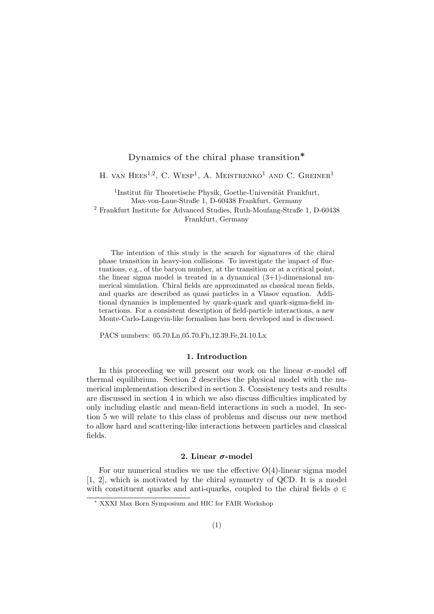# Dynamics of the chiral phase transition∗

H. VAN HEES<sup>1,2</sup>, C. WESP<sup>1</sup>, A. MEISTRENKO<sup>1</sup> AND C. GREINER<sup>1</sup>

<sup>1</sup>Institut für Theoretische Physik, Goethe-Universität Frankfurt, Max-von-Laue-Straße 1, D-60438 Frankfurt, Germany <sup>2</sup> Frankfurt Institute for Advanced Studies, Ruth-Moufang-Straße 1, D-60438

Frankfurt, Germany

The intention of this study is the search for signatures of the chiral phase transition in heavy-ion collisions. To investigate the impact of fluctuations, e.g., of the baryon number, at the transition or at a critical point, the linear sigma model is treated in a dynamical  $(3+1)$ -dimensional numerical simulation. Chiral fields are approximated as classical mean fields, and quarks are described as quasi particles in a Vlasov equation. Additional dynamics is implemented by quark-quark and quark-sigma-field interactions. For a consistent description of field-particle interactions, a new Monte-Carlo-Langevin-like formalism has been developed and is discussed.

PACS numbers: 05.70.Ln,05.70.Fh,12.39.Fe,24.10.Lx

### 1. Introduction

In this proceeding we will present our work on the linear  $\sigma$ -model off thermal equilibrium. Section 2 describes the physical model with the numerical implementation described in section 3. Consistency tests and results are discussed in section 4 in which we also discuss difficulties implicated by only including elastic and mean-field interactions in such a model. In section 5 we will relate to this class of problems and discuss our new method to allow hard and scattering-like interactions between particles and classical fields.

### 2. Linear  $\sigma$ -model

For our numerical studies we use the effective  $O(4)$ -linear sigma model [1, 2], which is motivated by the chiral symmetry of QCD. It is a model with constituent quarks and anti-quarks, coupled to the chiral fields  $\phi \in$ 

<sup>∗</sup> XXXI Max Born Symposium and HIC for FAIR Workshop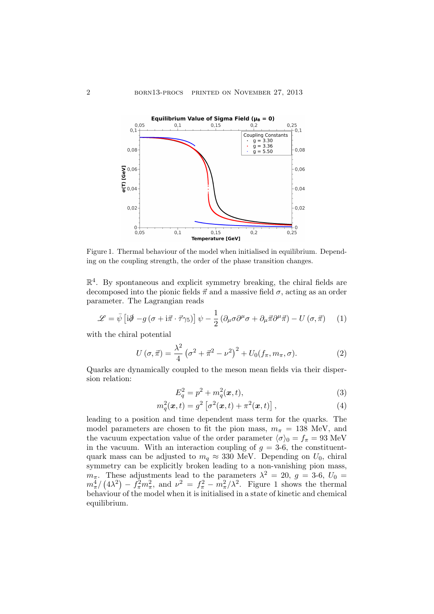

Figure 1. Thermal behaviour of the model when initialised in equilibrium. Depending on the coupling strength, the order of the phase transition changes.

 $\mathbb{R}^4$ . By spontaneous and explicit symmetry breaking, the chiral fields are decomposed into the pionic fields  $\vec{\pi}$  and a massive field  $\sigma$ , acting as an order parameter. The Lagrangian reads

$$
\mathcal{L} = \bar{\psi} \left[ i\partial \!\!\!/ - g \left( \sigma + i\vec{\pi} \cdot \vec{\tau} \gamma_5 \right) \right] \psi - \frac{1}{2} \left( \partial_\mu \sigma \partial^\mu \sigma + \partial_\mu \vec{\pi} \partial^\mu \vec{\pi} \right) - U \left( \sigma, \vec{\pi} \right) \tag{1}
$$

with the chiral potential

$$
U(\sigma, \vec{\pi}) = \frac{\lambda^2}{4} (\sigma^2 + \vec{\pi}^2 - \nu^2)^2 + U_0(f_\pi, m_\pi, \sigma).
$$
 (2)

Quarks are dynamically coupled to the meson mean fields via their dispersion relation:

$$
E_q^2 = p^2 + m_q^2(\bm{x}, t),\tag{3}
$$

$$
m_q^2(\boldsymbol{x},t) = g^2 \left[ \sigma^2(\boldsymbol{x},t) + \pi^2(\boldsymbol{x},t) \right], \tag{4}
$$

leading to a position and time dependent mass term for the quarks. The model parameters are chosen to fit the pion mass,  $m_{\pi} = 138$  MeV, and the vacuum expectation value of the order parameter  $\langle \sigma \rangle_0 = f_\pi = 93 \text{ MeV}$ in the vacuum. With an interaction coupling of  $g = 3-6$ , the constituentquark mass can be adjusted to  $m_q \approx 330$  MeV. Depending on  $U_0$ , chiral symmetry can be explicitly broken leading to a non-vanishing pion mass,  $m_{\pi}$ . These adjustments lead to the parameters  $\lambda^2 = 20$ ,  $g = 3.6$ ,  $U_0 =$  $m_{\pi}^4/(4\lambda^2) - f_{\pi}^2 m_{\pi}^2$ , and  $\nu^2 = f_{\pi}^2 - m_{\pi}^2/\lambda^2$ . Figure 1 shows the thermal behaviour of the model when it is initialised in a state of kinetic and chemical equilibrium.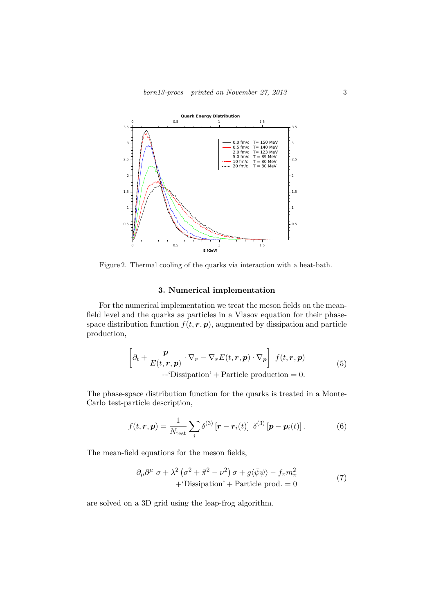

Figure 2. Thermal cooling of the quarks via interaction with a heat-bath.

# 3. Numerical implementation

For the numerical implementation we treat the meson fields on the meanfield level and the quarks as particles in a Vlasov equation for their phasespace distribution function  $f(t, r, p)$ , augmented by dissipation and particle production,

$$
\left[\partial_t + \frac{\mathbf{p}}{E(t, \mathbf{r}, \mathbf{p})} \cdot \nabla_{\mathbf{r}} - \nabla_{\mathbf{r}} E(t, \mathbf{r}, \mathbf{p}) \cdot \nabla_{\mathbf{p}}\right] f(t, \mathbf{r}, \mathbf{p}) + \text{Dissipation'} + \text{Particle production} = 0.
$$
\n(5)

The phase-space distribution function for the quarks is treated in a Monte-Carlo test-particle description,

$$
f(t,\mathbf{r},\mathbf{p}) = \frac{1}{N_{\text{test}}} \sum_{i} \delta^{(3)}\left[\mathbf{r} - \mathbf{r}_i(t)\right] \delta^{(3)}\left[\mathbf{p} - \mathbf{p}_i(t)\right]. \tag{6}
$$

The mean-field equations for the meson fields,

$$
\partial_{\mu}\partial^{\mu}\sigma + \lambda^{2}\left(\sigma^{2} + \vec{\pi}^{2} - \nu^{2}\right)\sigma + g\langle\bar{\psi}\psi\rangle - f_{\pi}m_{\pi}^{2} + \text{'Dissipation'} + \text{Particle prod.} = 0 \tag{7}
$$

are solved on a 3D grid using the leap-frog algorithm.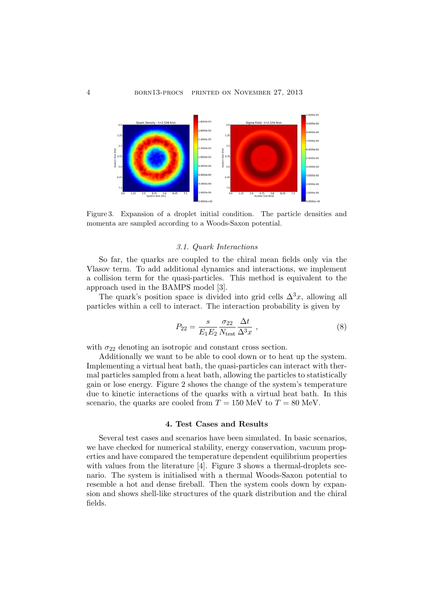

Figure 3. Expansion of a droplet initial condition. The particle densities and momenta are sampled according to a Woods-Saxon potential.

## 3.1. Quark Interactions

So far, the quarks are coupled to the chiral mean fields only via the Vlasov term. To add additional dynamics and interactions, we implement a collision term for the quasi-particles. This method is equivalent to the approach used in the BAMPS model [3].

The quark's position space is divided into grid cells  $\Delta^3 x$ , allowing all particles within a cell to interact. The interaction probability is given by

$$
P_{22} = \frac{s}{E_1 E_2} \frac{\sigma_{22}}{N_{\text{test}}} \frac{\Delta t}{\Delta^3 x} \,,\tag{8}
$$

with  $\sigma_{22}$  denoting an isotropic and constant cross section.

Additionally we want to be able to cool down or to heat up the system. Implementing a virtual heat bath, the quasi-particles can interact with thermal particles sampled from a heat bath, allowing the particles to statistically gain or lose energy. Figure 2 shows the change of the system's temperature due to kinetic interactions of the quarks with a virtual heat bath. In this scenario, the quarks are cooled from  $T = 150$  MeV to  $T = 80$  MeV.

# 4. Test Cases and Results

Several test cases and scenarios have been simulated. In basic scenarios, we have checked for numerical stability, energy conservation, vacuum properties and have compared the temperature dependent equilibrium properties with values from the literature [4]. Figure 3 shows a thermal-droplets scenario. The system is initialised with a thermal Woods-Saxon potential to resemble a hot and dense fireball. Then the system cools down by expansion and shows shell-like structures of the quark distribution and the chiral fields.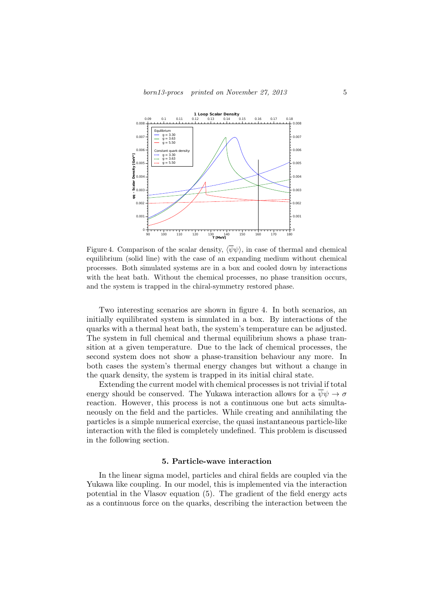

Figure 4. Comparison of the scalar density,  $\langle \bar{\psi}\psi \rangle$ , in case of thermal and chemical equilibrium (solid line) with the case of an expanding medium without chemical processes. Both simulated systems are in a box and cooled down by interactions with the heat bath. Without the chemical processes, no phase transition occurs, and the system is trapped in the chiral-symmetry restored phase.

Two interesting scenarios are shown in figure 4. In both scenarios, an initially equilibrated system is simulated in a box. By interactions of the quarks with a thermal heat bath, the system's temperature can be adjusted. The system in full chemical and thermal equilibrium shows a phase transition at a given temperature. Due to the lack of chemical processes, the second system does not show a phase-transition behaviour any more. In both cases the system's thermal energy changes but without a change in the quark density, the system is trapped in its initial chiral state.

Extending the current model with chemical processes is not trivial if total energy should be conserved. The Yukawa interaction allows for a  $\psi \psi \rightarrow \sigma$ reaction. However, this process is not a continuous one but acts simultaneously on the field and the particles. While creating and annihilating the particles is a simple numerical exercise, the quasi instantaneous particle-like interaction with the filed is completely undefined. This problem is discussed in the following section.

# 5. Particle-wave interaction

In the linear sigma model, particles and chiral fields are coupled via the Yukawa like coupling. In our model, this is implemented via the interaction potential in the Vlasov equation (5). The gradient of the field energy acts as a continuous force on the quarks, describing the interaction between the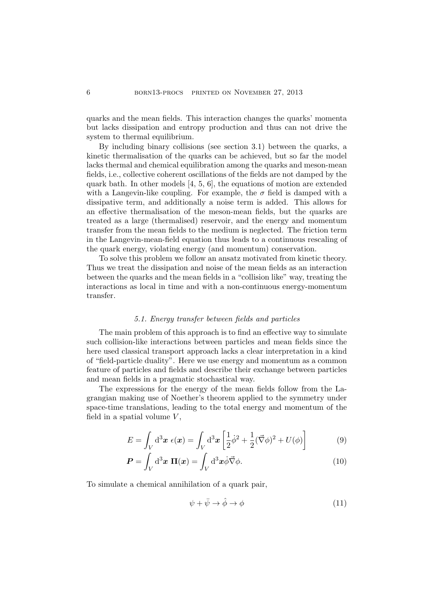quarks and the mean fields. This interaction changes the quarks' momenta but lacks dissipation and entropy production and thus can not drive the system to thermal equilibrium.

By including binary collisions (see section 3.1) between the quarks, a kinetic thermalisation of the quarks can be achieved, but so far the model lacks thermal and chemical equilibration among the quarks and meson-mean fields, i.e., collective coherent oscillations of the fields are not damped by the quark bath. In other models  $[4, 5, 6]$ , the equations of motion are extended with a Langevin-like coupling. For example, the  $\sigma$  field is damped with a dissipative term, and additionally a noise term is added. This allows for an effective thermalisation of the meson-mean fields, but the quarks are treated as a large (thermalised) reservoir, and the energy and momentum transfer from the mean fields to the medium is neglected. The friction term in the Langevin-mean-field equation thus leads to a continuous rescaling of the quark energy, violating energy (and momentum) conservation.

To solve this problem we follow an ansatz motivated from kinetic theory. Thus we treat the dissipation and noise of the mean fields as an interaction between the quarks and the mean fields in a "collision like" way, treating the interactions as local in time and with a non-continuous energy-momentum transfer.

## 5.1. Energy transfer between fields and particles

The main problem of this approach is to find an effective way to simulate such collision-like interactions between particles and mean fields since the here used classical transport approach lacks a clear interpretation in a kind of "field-particle duality". Here we use energy and momentum as a common feature of particles and fields and describe their exchange between particles and mean fields in a pragmatic stochastical way.

The expressions for the energy of the mean fields follow from the Lagrangian making use of Noether's theorem applied to the symmetry under space-time translations, leading to the total energy and momentum of the field in a spatial volume  $V$ ,

$$
E = \int_V d^3x \epsilon(x) = \int_V d^3x \left[ \frac{1}{2} \dot{\phi}^2 + \frac{1}{2} (\vec{\nabla}\phi)^2 + U(\phi) \right]
$$
(9)

$$
\boldsymbol{P} = \int_{V} d^{3} \boldsymbol{x} \, \boldsymbol{\Pi}(\boldsymbol{x}) = \int_{V} d^{3} \boldsymbol{x} \dot{\phi} \vec{\nabla} \phi.
$$
 (10)

To simulate a chemical annihilation of a quark pair,

$$
\psi + \bar{\psi} \to \hat{\phi} \to \phi \tag{11}
$$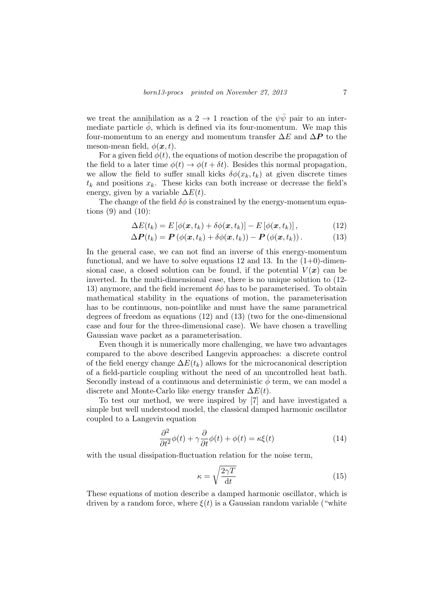we treat the annihilation as a 2  $\rightarrow$  1 reaction of the  $\psi \bar{\psi}$  pair to an intermediate particle  $\phi$ , which is defined via its four-momentum. We map this four-momentum to an energy and momentum transfer  $\Delta E$  and  $\Delta P$  to the meson-mean field,  $\phi(\mathbf{x}, t)$ .

For a given field  $\phi(t)$ , the equations of motion describe the propagation of the field to a later time  $\phi(t) \to \phi(t + \delta t)$ . Besides this normal propagation, we allow the field to suffer small kicks  $\delta\phi(x_k, t_k)$  at given discrete times  $t_k$  and positions  $x_k$ . These kicks can both increase or decrease the field's energy, given by a variable  $\Delta E(t)$ .

The change of the field  $\delta\phi$  is constrained by the energy-momentum equations  $(9)$  and  $(10)$ :

$$
\Delta E(t_k) = E\left[\phi(\boldsymbol{x}, t_k) + \delta\phi(\boldsymbol{x}, t_k)\right] - E\left[\phi(\boldsymbol{x}, t_k)\right],\tag{12}
$$

$$
\Delta \boldsymbol{P}(t_k) = \boldsymbol{P}\left(\phi(\boldsymbol{x},t_k) + \delta\phi(\boldsymbol{x},t_k)\right) - \boldsymbol{P}\left(\phi(\boldsymbol{x},t_k)\right). \tag{13}
$$

In the general case, we can not find an inverse of this energy-momentum functional, and we have to solve equations 12 and 13. In the  $(1+0)$ -dimensional case, a closed solution can be found, if the potential  $V(\boldsymbol{x})$  can be inverted. In the multi-dimensional case, there is no unique solution to (12- 13) anymore, and the field increment  $\delta\phi$  has to be parameterised. To obtain mathematical stability in the equations of motion, the parameterisation has to be continuous, non-pointlike and must have the same parametrical degrees of freedom as equations (12) and (13) (two for the one-dimensional case and four for the three-dimensional case). We have chosen a travelling Gaussian wave packet as a parameterisation.

Even though it is numerically more challenging, we have two advantages compared to the above described Langevin approaches: a discrete control of the field energy change  $\Delta E(t_k)$  allows for the microcanonical description of a field-particle coupling without the need of an uncontrolled heat bath. Secondly instead of a continuous and deterministic  $\phi$  term, we can model a discrete and Monte-Carlo like energy transfer  $\Delta E(t)$ .

To test our method, we were inspired by [7] and have investigated a simple but well understood model, the classical damped harmonic oscillator coupled to a Langevin equation

$$
\frac{\partial^2}{\partial t^2}\phi(t) + \gamma \frac{\partial}{\partial t}\phi(t) + \phi(t) = \kappa \xi(t)
$$
\n(14)

with the usual dissipation-fluctuation relation for the noise term,

$$
\kappa = \sqrt{\frac{2\gamma T}{dt}}\tag{15}
$$

These equations of motion describe a damped harmonic oscillator, which is driven by a random force, where  $\xi(t)$  is a Gaussian random variable ("white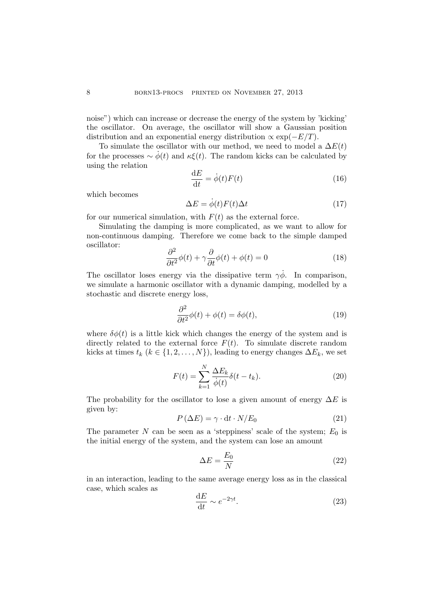noise") which can increase or decrease the energy of the system by 'kicking' the oscillator. On average, the oscillator will show a Gaussian position distribution and an exponential energy distribution  $\propto \exp(-E/T)$ .

To simulate the oscillator with our method, we need to model a  $\Delta E(t)$ for the processes  $\sim \dot{\phi}(t)$  and  $\kappa \xi(t)$ . The random kicks can be calculated by using the relation

$$
\frac{\mathrm{d}E}{\mathrm{d}t} = \dot{\phi}(t)F(t) \tag{16}
$$

which becomes

$$
\Delta E = \dot{\phi}(t)F(t)\Delta t \tag{17}
$$

for our numerical simulation, with  $F(t)$  as the external force.

Simulating the damping is more complicated, as we want to allow for non-continuous damping. Therefore we come back to the simple damped oscillator:

$$
\frac{\partial^2}{\partial t^2}\phi(t) + \gamma \frac{\partial}{\partial t}\phi(t) + \phi(t) = 0
$$
\n(18)

The oscillator loses energy via the dissipative term  $\gamma \dot{\phi}$ . In comparison, we simulate a harmonic oscillator with a dynamic damping, modelled by a stochastic and discrete energy loss,

$$
\frac{\partial^2}{\partial t^2}\phi(t) + \phi(t) = \delta\phi(t),\tag{19}
$$

where  $\delta\phi(t)$  is a little kick which changes the energy of the system and is directly related to the external force  $F(t)$ . To simulate discrete random kicks at times  $t_k$  ( $k \in \{1, 2, ..., N\}$ ), leading to energy changes  $\Delta E_k$ , we set

$$
F(t) = \sum_{k=1}^{N} \frac{\Delta E_k}{\dot{\phi}(t)} \delta(t - t_k).
$$
 (20)

The probability for the oscillator to lose a given amount of energy  $\Delta E$  is given by:

$$
P(\Delta E) = \gamma \cdot dt \cdot N/E_0 \tag{21}
$$

The parameter N can be seen as a 'steppiness' scale of the system;  $E_0$  is the initial energy of the system, and the system can lose an amount

$$
\Delta E = \frac{E_0}{N} \tag{22}
$$

in an interaction, leading to the same average energy loss as in the classical case, which scales as

$$
\frac{\mathrm{d}E}{\mathrm{d}t} \sim e^{-2\gamma t}.\tag{23}
$$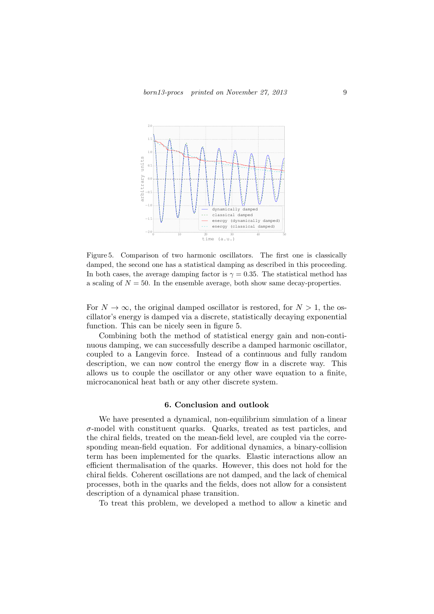

Figure 5. Comparison of two harmonic oscillators. The first one is classically damped, the second one has a statistical damping as described in this proceeding. In both cases, the average damping factor is  $\gamma = 0.35$ . The statistical method has a scaling of  $N = 50$ . In the ensemble average, both show same decay-properties.

For  $N \to \infty$ , the original damped oscillator is restored, for  $N > 1$ , the oscillator's energy is damped via a discrete, statistically decaying exponential function. This can be nicely seen in figure 5.

Combining both the method of statistical energy gain and non-continuous damping, we can successfully describe a damped harmonic oscillator, coupled to a Langevin force. Instead of a continuous and fully random description, we can now control the energy flow in a discrete way. This allows us to couple the oscillator or any other wave equation to a finite, microcanonical heat bath or any other discrete system.

### 6. Conclusion and outlook

We have presented a dynamical, non-equilibrium simulation of a linear  $\sigma$ -model with constituent quarks. Quarks, treated as test particles, and the chiral fields, treated on the mean-field level, are coupled via the corresponding mean-field equation. For additional dynamics, a binary-collision term has been implemented for the quarks. Elastic interactions allow an efficient thermalisation of the quarks. However, this does not hold for the chiral fields. Coherent oscillations are not damped, and the lack of chemical processes, both in the quarks and the fields, does not allow for a consistent description of a dynamical phase transition.

To treat this problem, we developed a method to allow a kinetic and